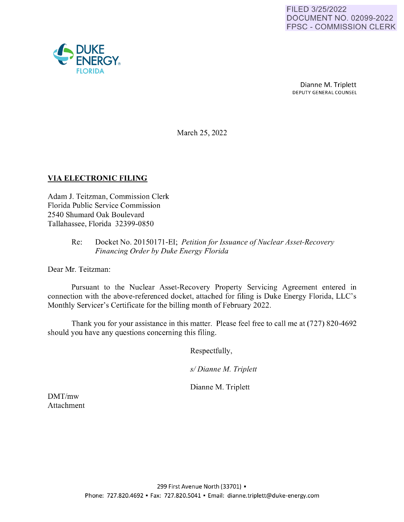

Dianne M. Triplett DEPUTY GENERAL COUNSEL

March 25, 2022

# **VIA ELECTRONIC FILING**

Adam J. Teitzman, Commission Clerk Florida Public Service Commission 2540 Shumard Oak Boulevard Tallahassee, Florida 32399-0850

## Re: Docket No. 20150171-EI; *Petition for Issuance of Nuclear Asset-Recovery Financing Order by Duke Energy Florida*

Dear Mr. Teitzman:

Pursuant to the Nuclear Asset-Recovery Property Servicing Agreement entered in connection with the above-referenced docket, attached for filing is Duke Energy Florida, LLC's Monthly Servicer's Certificate for the billing month of February 2022.

Thank you for your assistance in this matter. Please feel free to call me at (727) 820-4692 should you have any questions concerning this filing.

Respectfully,

*s/ Dianne M. Triplett* 

Dianne M. Triplett

DMT/mw Attachment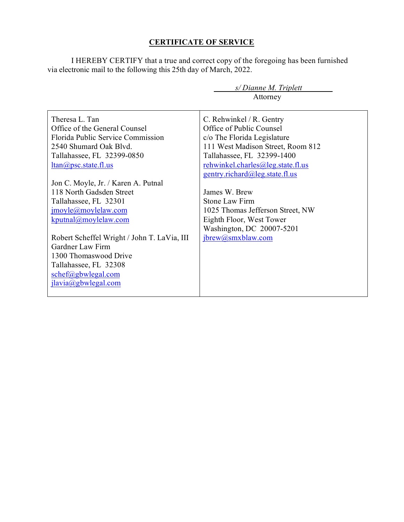# **CERTIFICATE OF SERVICE**

I HEREBY CERTIFY that a true and correct copy of the foregoing has been furnished via electronic mail to the following this 25th day of March, 2022.

|                                             | $s/Di$ anne M. Triplett           |  |  |
|---------------------------------------------|-----------------------------------|--|--|
|                                             | Attorney                          |  |  |
|                                             |                                   |  |  |
| Theresa L. Tan                              | C. Rehwinkel / R. Gentry          |  |  |
| Office of the General Counsel               | Office of Public Counsel          |  |  |
| Florida Public Service Commission           | c/o The Florida Legislature       |  |  |
| 2540 Shumard Oak Blyd.                      | 111 West Madison Street, Room 812 |  |  |
| Tallahassee, FL 32399-0850                  | Tallahassee, FL 32399-1400        |  |  |
| $ltan(a)$ psc.state.fl.us                   | rehwinkel.charles@leg.state.fl.us |  |  |
|                                             | gentry.richard@leg.state.fl.us    |  |  |
| Jon C. Moyle, Jr. / Karen A. Putnal         |                                   |  |  |
| 118 North Gadsden Street                    | James W. Brew                     |  |  |
| Tallahassee, FL 32301                       | <b>Stone Law Firm</b>             |  |  |
| jmoyle@moylelaw.com                         | 1025 Thomas Jefferson Street, NW  |  |  |
| $k$ putnal@moylelaw.com                     | Eighth Floor, West Tower          |  |  |
|                                             | Washington, DC 20007-5201         |  |  |
| Robert Scheffel Wright / John T. LaVia, III | jbrew@smxblaw.com                 |  |  |
| Gardner Law Firm                            |                                   |  |  |
| 1300 Thomaswood Drive                       |                                   |  |  |
| Tallahassee, FL 32308                       |                                   |  |  |
| schef@gbwlegal.com                          |                                   |  |  |
| ilavia(a)gbwlegal.com                       |                                   |  |  |
|                                             |                                   |  |  |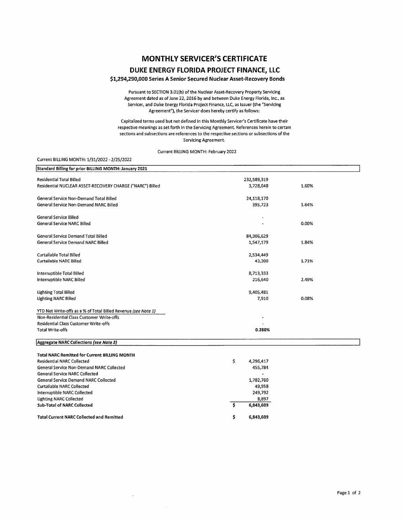## **MONTHLY SERVICER'S CERTIFICATE**

## **DUKE ENERGY FLORIDA PROJECT FINANCE, LLC**

## **\$1,294,290,000 Series A Senior Secured Nuclear Asset-Recovery Bonds**

Pursuant to SECTION 3.0l(b) of the Nuclear Asset-Recovery Property Servicing Agreement dated as of June 22, 2016 by and between Duke Energy Florida, Inc., as Servicer, and Duke Energy Florida Project Finance, LLC, as Issuer (the "Servicing Agreement"), the Servicer does hereby certify as follows:

Capitalized terms used but not defined in this Monthly Servicer's Certificate have their respective meanings as set forth in the Servicing Agreement. References herein to certain sections and subsections are references to the respective sections or subsections of the Servicing Agreement.

#### Current BILLING MONTH: February 2022

## Current BILLING MONTH: 1/31/2022 - 2/25/2022

| Standard Billing for prior BILLING MONTH: January 2021         |        |             |       |
|----------------------------------------------------------------|--------|-------------|-------|
|                                                                |        |             |       |
| <b>Residential Total Billed</b>                                |        | 232,589,319 |       |
| Residential NUCLEAR ASSET-RECOVERY CHARGE ("NARC") Billed      |        | 3,728,648   | 1.60% |
| General Service Non-Demand Total Billed                        |        | 24,118,170  |       |
| General Service Non-Demand NARC Billed.                        |        | 395,723     | 1.64% |
| General Service Billed                                         |        |             |       |
| General Service NARC Billed                                    |        |             | 0.00% |
| General Service Demand Total Billed                            |        | 84,306,629  |       |
| General Service Demand NARC Billed                             |        | 1,547,179   | 1.84% |
| Curtailable Total Billed                                       |        | 2,534,449   |       |
| Curtailable NARC Billed                                        |        | 43,300      | 1.71% |
| Interruptible Total Billed                                     |        | 8,713,333   |       |
| Interruptible NARC Billed                                      |        | 216,640     | 2.49% |
| Lighting Total Billed                                          |        | 9,405,481   |       |
| <b>Lighting NARC Billed</b>                                    |        | 7,910       | 0.08% |
| YTD Net Write-offs as a % of Total Billed Revenue (see Note 1) |        |             |       |
| Non-Residential Class Customer Write-offs                      |        |             |       |
| Residential Class Customer Write-offs                          |        |             |       |
| <b>Total Write-offs</b>                                        | 0.280% |             |       |
| Aggregate NARC Collections (see Note 2)                        |        |             |       |
| <b>Total NARC Remitted for Current BILLING MONTH</b>           |        |             |       |
| <b>Residential NARC Collected</b>                              | \$     | 4,296,417   |       |
| General Service Non-Demand NARC Collected                      |        | 455,784     |       |
| <b>General Service NARC Collected</b>                          |        |             |       |
| <b>General Service Demand NARC Collected</b>                   |        | 1,782,760   |       |
| <b>Curtailable NARC Collected</b>                              |        | 49,958      |       |
| Interruptible NARC Collected                                   |        | 249,792     |       |
| <b>Lighting NARC Collected</b>                                 |        | 8,897       |       |
| <b>Sub-Total of NARC Collected</b>                             | \$     | 6,843,609   |       |

\$

**6,843,609** 

**Total Current NARC Collected and Remitted** 

L.